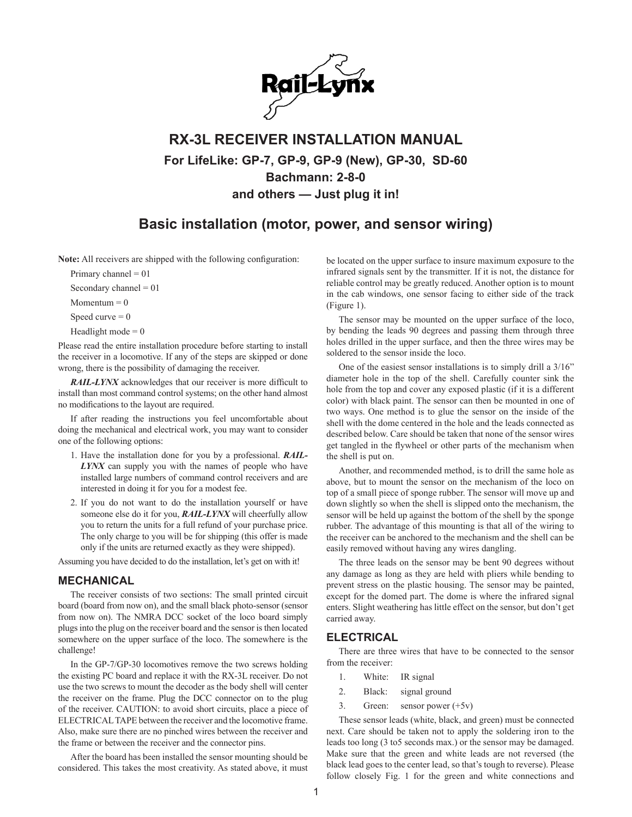

## **RX-3L RECEIVER INSTALLATION MANUAL For LifeLike: GP-7, GP-9, GP-9 (New), GP-30, SD-60 Bachmann: 2-8-0 and others — Just plug it in!**

### **Basic installation (motor, power, and sensor wiring)**

**Note:** All receivers are shipped with the following configuration:

Primary channel  $= 01$ 

Secondary channel  $= 01$ 

Momentum  $= 0$ 

Speed curve  $= 0$ 

Headlight mode  $= 0$ 

Please read the entire installation procedure before starting to install the receiver in a locomotive. If any of the steps are skipped or done wrong, there is the possibility of damaging the receiver.

*RAIL-LYNX* acknowledges that our receiver is more difficult to install than most command control systems; on the other hand almost no modifications to the layout are required.

If after reading the instructions you feel uncomfortable about doing the mechanical and electrical work, you may want to consider one of the following options:

- 1. Have the installation done for you by a professional. *RAIL-LYNX* can supply you with the names of people who have installed large numbers of command control receivers and are interested in doing it for you for a modest fee.
- 2. If you do not want to do the installation yourself or have someone else do it for you, *RAIL-LYNX* will cheerfully allow you to return the units for a full refund of your purchase price. The only charge to you will be for shipping (this offer is made only if the units are returned exactly as they were shipped).

Assuming you have decided to do the installation, let's get on with it!

#### **MECHANICAL**

The receiver consists of two sections: The small printed circuit board (board from now on), and the small black photo-sensor (sensor from now on). The NMRA DCC socket of the loco board simply plugs into the plug on the receiver board and the sensor is then located somewhere on the upper surface of the loco. The somewhere is the challenge!

In the GP-7/GP-30 locomotives remove the two screws holding the existing PC board and replace it with the RX-3L receiver. Do not use the two screws to mount the decoder as the body shell will center the receiver on the frame. Plug the DCC connector on to the plug of the receiver. CAUTION: to avoid short circuits, place a piece of ELECTRICAL TAPE between the receiver and the locomotive frame. Also, make sure there are no pinched wires between the receiver and the frame or between the receiver and the connector pins.

After the board has been installed the sensor mounting should be considered. This takes the most creativity. As stated above, it must be located on the upper surface to insure maximum exposure to the infrared signals sent by the transmitter. If it is not, the distance for reliable control may be greatly reduced. Another option is to mount in the cab windows, one sensor facing to either side of the track (Figure 1).

The sensor may be mounted on the upper surface of the loco, by bending the leads 90 degrees and passing them through three holes drilled in the upper surface, and then the three wires may be soldered to the sensor inside the loco.

One of the easiest sensor installations is to simply drill a 3/16" diameter hole in the top of the shell. Carefully counter sink the hole from the top and cover any exposed plastic (if it is a different color) with black paint. The sensor can then be mounted in one of two ways. One method is to glue the sensor on the inside of the shell with the dome centered in the hole and the leads connected as described below. Care should be taken that none of the sensor wires get tangled in the flywheel or other parts of the mechanism when the shell is put on.

Another, and recommended method, is to drill the same hole as above, but to mount the sensor on the mechanism of the loco on top of a small piece of sponge rubber. The sensor will move up and down slightly so when the shell is slipped onto the mechanism, the sensor will be held up against the bottom of the shell by the sponge rubber. The advantage of this mounting is that all of the wiring to the receiver can be anchored to the mechanism and the shell can be easily removed without having any wires dangling.

The three leads on the sensor may be bent 90 degrees without any damage as long as they are held with pliers while bending to prevent stress on the plastic housing. The sensor may be painted, except for the domed part. The dome is where the infrared signal enters. Slight weathering has little effect on the sensor, but don't get carried away.

#### **ELECTRICAL**

There are three wires that have to be connected to the sensor from the receiver:

- 1. White: IR signal
- 2. Black: signal ground
- 3. Green: sensor power  $(+5v)$

These sensor leads (white, black, and green) must be connected next. Care should be taken not to apply the soldering iron to the leads too long (3 to5 seconds max.) or the sensor may be damaged. Make sure that the green and white leads are not reversed (the black lead goes to the center lead, so that's tough to reverse). Please follow closely Fig. 1 for the green and white connections and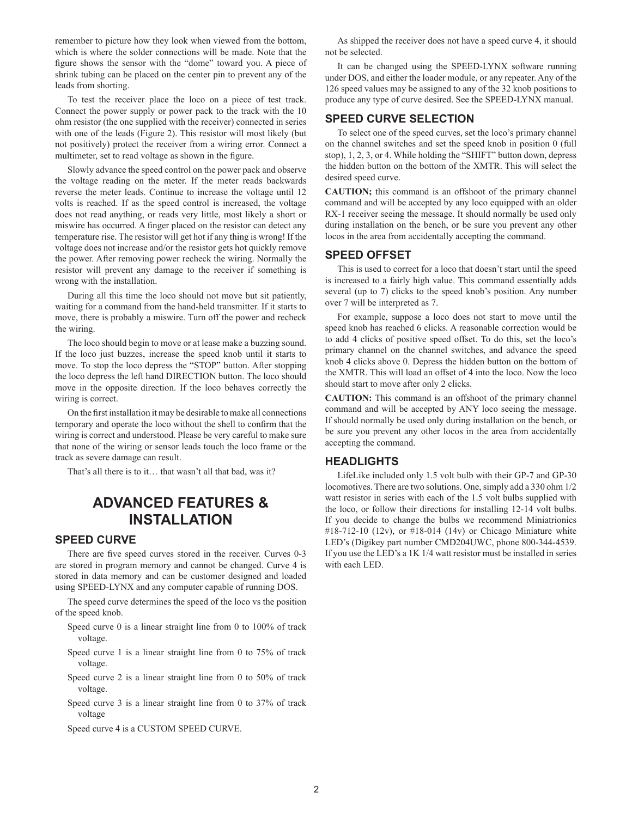remember to picture how they look when viewed from the bottom, which is where the solder connections will be made. Note that the figure shows the sensor with the "dome" toward you. A piece of shrink tubing can be placed on the center pin to prevent any of the leads from shorting.

To test the receiver place the loco on a piece of test track. Connect the power supply or power pack to the track with the 10 ohm resistor (the one supplied with the receiver) connected in series with one of the leads (Figure 2). This resistor will most likely (but not positively) protect the receiver from a wiring error. Connect a multimeter, set to read voltage as shown in the figure.

Slowly advance the speed control on the power pack and observe the voltage reading on the meter. If the meter reads backwards reverse the meter leads. Continue to increase the voltage until 12 volts is reached. If as the speed control is increased, the voltage does not read anything, or reads very little, most likely a short or miswire has occurred. A finger placed on the resistor can detect any temperature rise. The resistor will get hot if any thing is wrong! If the voltage does not increase and/or the resistor gets hot quickly remove the power. After removing power recheck the wiring. Normally the resistor will prevent any damage to the receiver if something is wrong with the installation.

During all this time the loco should not move but sit patiently, waiting for a command from the hand-held transmitter. If it starts to move, there is probably a miswire. Turn off the power and recheck the wiring.

The loco should begin to move or at lease make a buzzing sound. If the loco just buzzes, increase the speed knob until it starts to move. To stop the loco depress the "STOP" button. After stopping the loco depress the left hand DIRECTION button. The loco should move in the opposite direction. If the loco behaves correctly the wiring is correct.

On the first installation it may be desirable to make all connections temporary and operate the loco without the shell to confirm that the wiring is correct and understood. Please be very careful to make sure that none of the wiring or sensor leads touch the loco frame or the track as severe damage can result.

That's all there is to it… that wasn't all that bad, was it?

## **ADVANCED FEATURES & INSTALLATION**

#### **SPEED CURVE**

There are five speed curves stored in the receiver. Curves 0-3 are stored in program memory and cannot be changed. Curve 4 is stored in data memory and can be customer designed and loaded using SPEED-LYNX and any computer capable of running DOS.

The speed curve determines the speed of the loco vs the position of the speed knob.

- Speed curve 0 is a linear straight line from 0 to 100% of track voltage.
- Speed curve 1 is a linear straight line from 0 to 75% of track voltage.
- Speed curve 2 is a linear straight line from 0 to 50% of track voltage.
- Speed curve 3 is a linear straight line from 0 to 37% of track voltage

Speed curve 4 is a CUSTOM SPEED CURVE.

As shipped the receiver does not have a speed curve 4, it should not be selected.

It can be changed using the SPEED-LYNX software running under DOS, and either the loader module, or any repeater. Any of the 126 speed values may be assigned to any of the 32 knob positions to produce any type of curve desired. See the SPEED-LYNX manual.

#### **SPEED CURVE SELECTION**

To select one of the speed curves, set the loco's primary channel on the channel switches and set the speed knob in position 0 (full stop), 1, 2, 3, or 4. While holding the "SHIFT" button down, depress the hidden button on the bottom of the XMTR. This will select the desired speed curve.

**CAUTION;** this command is an offshoot of the primary channel command and will be accepted by any loco equipped with an older RX-1 receiver seeing the message. It should normally be used only during installation on the bench, or be sure you prevent any other locos in the area from accidentally accepting the command.

#### **SPEED OFFSET**

This is used to correct for a loco that doesn't start until the speed is increased to a fairly high value. This command essentially adds several (up to 7) clicks to the speed knob's position. Any number over 7 will be interpreted as 7.

For example, suppose a loco does not start to move until the speed knob has reached 6 clicks. A reasonable correction would be to add 4 clicks of positive speed offset. To do this, set the loco's primary channel on the channel switches, and advance the speed knob 4 clicks above 0. Depress the hidden button on the bottom of the XMTR. This will load an offset of 4 into the loco. Now the loco should start to move after only 2 clicks.

**CAUTION:** This command is an offshoot of the primary channel command and will be accepted by ANY loco seeing the message. If should normally be used only during installation on the bench, or be sure you prevent any other locos in the area from accidentally accepting the command.

#### **HEADLIGHTS**

LifeLike included only 1.5 volt bulb with their GP-7 and GP-30 locomotives. There are two solutions. One, simply add a 330 ohm 1/2 watt resistor in series with each of the 1.5 volt bulbs supplied with the loco, or follow their directions for installing 12-14 volt bulbs. If you decide to change the bulbs we recommend Miniatrionics #18-712-10 (12v), or #18-014 (14v) or Chicago Miniature white LED's (Digikey part number CMD204UWC, phone 800-344-4539. If you use the LED's a 1K 1/4 watt resistor must be installed in series with each LED.